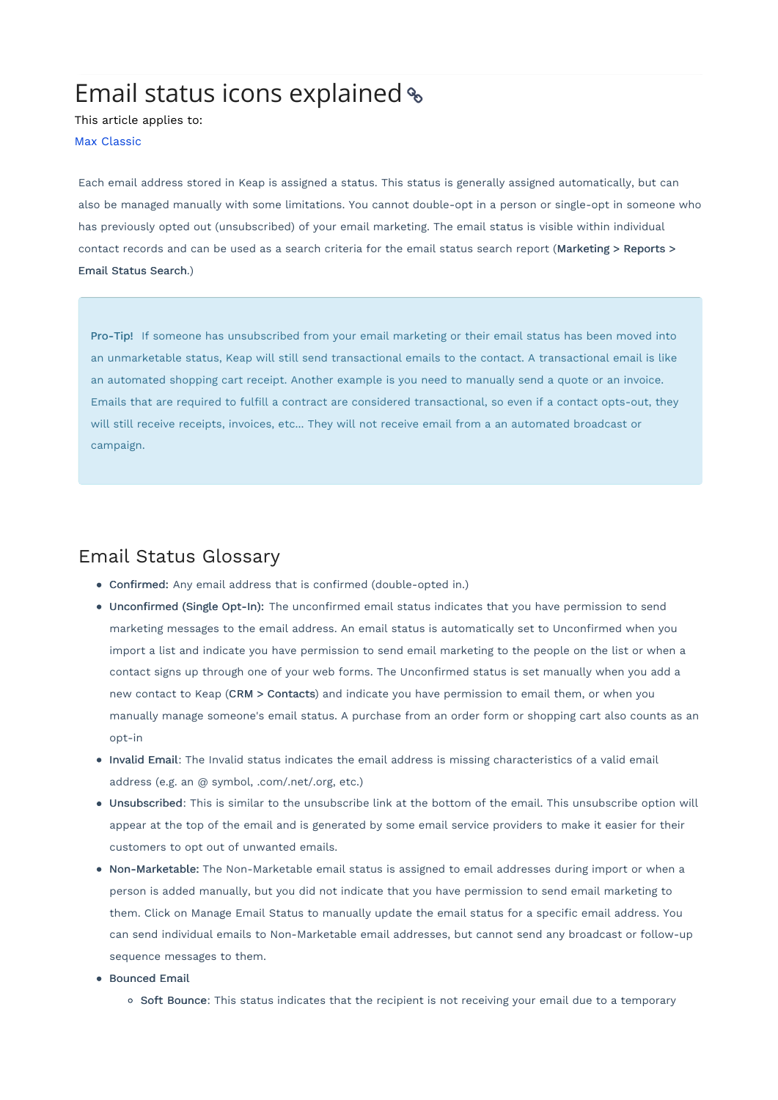# Email status icons explained

This article applies to:

Max [Classic](https://keap.com/keap-max-classic)

Each email address stored in Keap is assigned a status. This status is generally assigned automatically, but can also be managed manually with some limitations. You cannot double-opt in a person or single-opt in someone who has previously opted out (unsubscribed) of your email marketing. The email status is visible within individual contact records and can be used as a search criteria for the email status search report (Marketing > Reports > Email Status Search.)

Pro-Tip! If someone has unsubscribed from your email marketing or their email status has been moved into an unmarketable status, Keap will still send transactional emails to the contact. A transactional email is like an automated shopping cart receipt. Another example is you need to manually send a quote or an invoice. Emails that are required to fulfill a contract are considered transactional, so even if a contact opts-out, they will still receive receipts, invoices, etc... They will not receive email from a an automated broadcast or campaign.

### Email Status Glossary

- Confirmed: Any email address that is confirmed (double-opted in.)
- Unconfirmed (Single Opt-In): The unconfirmed email status indicates that you have permission to send marketing messages to the email address. An email status is automatically set to Unconfirmed when you import a list and indicate you have permission to send email marketing to the people on the list or when a contact signs up through one of your web forms. The Unconfirmed status is set manually when you add a new contact to Keap (CRM > Contacts) and indicate you have permission to email them, or when you manually manage someone's email status. A purchase from an order form or shopping cart also counts as an opt-in
- Invalid Email: The Invalid status indicates the email address is missing characteristics of a valid email address (e.g. an @ symbol, .com/.net/.org, etc.)
- Unsubscribed: This is similar to the unsubscribe link at the bottom of the email. This unsubscribe option will appear at the top of the email and is generated by some email service providers to make it easier for their customers to opt out of unwanted emails.
- Non-Marketable: The Non-Marketable email status is assigned to email addresses during import or when a person is added manually, but you did not indicate that you have permission to send email marketing to them. Click on Manage Email Status to manually update the email status for a specific email address. You can send individual emails to Non-Marketable email addresses, but cannot send any broadcast or follow-up sequence messages to them.
- **•** Bounced Email
	- o Soft Bounce: This status indicates that the recipient is not receiving your email due to a temporary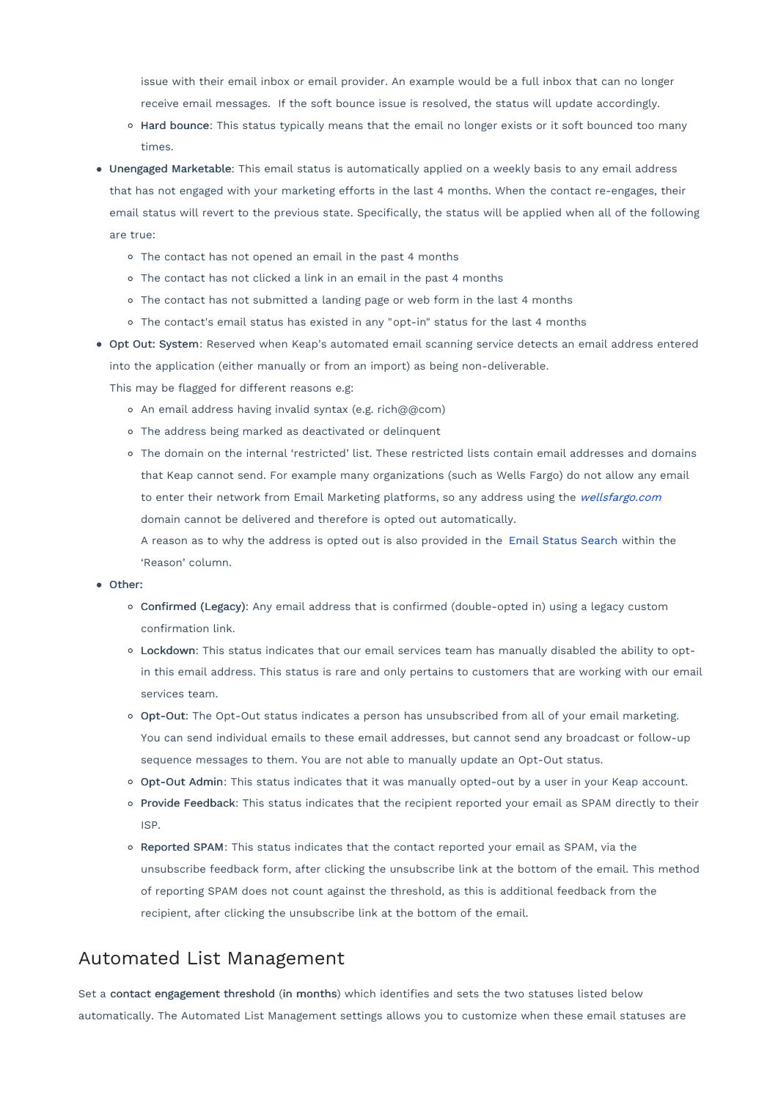issue with their email inbox or email provider. An example would be a full inbox that can no longer receive email messages. If the soft bounce issue is resolved, the status will update accordingly.

- o Hard bounce: This status typically means that the email no longer exists or it soft bounced too many times.
- Unengaged Marketable: This email status is automatically applied on a weekly basis to any email address that has not engaged with your marketing efforts in the last 4 months. When the contact re-engages, their email status will revert to the previous state. Specifically, the status will be applied when all of the following are true:
	- The contact has not opened an email in the past 4 months
	- The contact has not clicked a link in an email in the past 4 months
	- o The contact has not submitted a landing page or web form in the last 4 months
	- The contact's email status has existed in any "opt-in" status for the last 4 months
- Opt Out: System: Reserved when Keap's automated email scanning service detects an email address entered into the application (either manually or from an import) as being non-deliverable.

This may be flagged for different reasons e.g:

- An email address having invalid syntax (e.g. rich@@com)
- The address being marked as deactivated or delinquent
- The domain on the internal 'restricted' list. These restricted lists contain email addresses and domains that Keap cannot send. For example many organizations (such as Wells Fargo) do not allow any email to enter their network from Email Marketing platforms, so any address using the [wellsfargo.com](http://wellsfargo.com/) domain cannot be delivered and therefore is opted out automatically.

A reason as to why the address is opted out is also provided in the Email Status [Search](https://help.infusionsoft.com/help/email-status-search) within the 'Reason' column.

#### Other:

- Confirmed (Legacy): Any email address that is confirmed (double-opted in) using a legacy custom confirmation link.
- Lockdown: This status indicates that our email services team has manually disabled the ability to optin this email address. This status is rare and only pertains to customers that are working with our email services team.
- o Opt-Out: The Opt-Out status indicates a person has unsubscribed from all of your email marketing. You can send individual emails to these email addresses, but cannot send any broadcast or follow-up sequence messages to them. You are not able to manually update an Opt-Out status.
- o Opt-Out Admin: This status indicates that it was manually opted-out by a user in your Keap account.
- o Provide Feedback: This status indicates that the recipient reported your email as SPAM directly to their ISP.
- o Reported SPAM: This status indicates that the contact reported your email as SPAM, via the unsubscribe feedback form, after clicking the unsubscribe link at the bottom of the email. This method of reporting SPAM does not count against the threshold, as this is additional feedback from the recipient, after clicking the unsubscribe link at the bottom of the email.

### Automated List Management

Set a contact engagement threshold (in months) which identifies and sets the two statuses listed below automatically. The Automated List Management settings allows you to customize when these email statuses are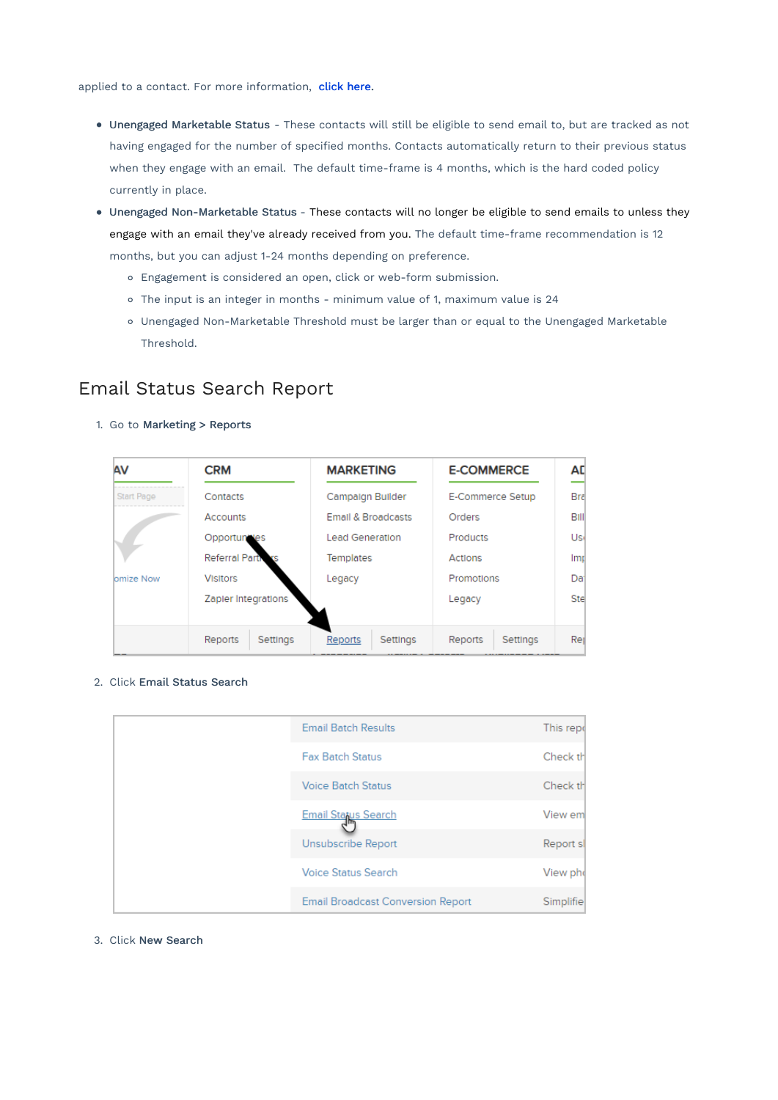applied to a contact. For more information, [click](http://help.infusionsoft.com/help/automated-list-management) here.

- Unengaged Marketable Status These contacts will still be eligible to send email to, but are tracked as not having engaged for the number of specified months. Contacts automatically return to their previous status when they engage with an email. The default time-frame is 4 months, which is the hard coded policy currently in place.
- Unengaged Non-Marketable Status These contacts will no longer be eligible to send emails to unless they engage with an email they've already received from you. The default time-frame recommendation is 12 months, but you can adjust 1-24 months depending on preference.
	- Engagement is considered an open, click or web-form submission.
	- The input is an integer in months minimum value of 1, maximum value is 24
	- Unengaged Non-Marketable Threshold must be larger than or equal to the Unengaged Marketable Threshold.

## Email Status Search Report

1. Go to Marketing > Reports

| AV               | <b>CRM</b>            | <b>MARKETING</b>              | <b>E-COMMERCE</b>   | AD              |
|------------------|-----------------------|-------------------------------|---------------------|-----------------|
| Start Page       | Contacts              | Campaign Builder              | E-Commerce Setup    | Bra             |
|                  | <b>Accounts</b>       | <b>Email &amp; Broadcasts</b> | Orders              | Bill            |
|                  | Opportuntles          | <b>Lead Generation</b>        | Products            | Usi             |
|                  | <b>Referral Parti</b> | Templates                     | Actions             | Imp             |
| <b>bmize Now</b> | <b>Visitors</b>       | Legacy                        | Promotions          | Da <sup>-</sup> |
|                  | Zapler Integrations   |                               | Legacy              | Ste             |
|                  | Reports<br>Settings   | Settings<br>Reports           | Reports<br>Settings | Rei             |

2. Click Email Status Search

|  | <b>Email Batch Results</b>               | This repo |
|--|------------------------------------------|-----------|
|  | <b>Fax Batch Status</b>                  | Check th  |
|  | <b>Voice Batch Status</b>                | Check th  |
|  | Email Status Search                      | View em   |
|  | Unsubscribe Report                       | Report sl |
|  | <b>Voice Status Search</b>               | View pho  |
|  | <b>Email Broadcast Conversion Report</b> | Simplifie |

#### 3. Click New Search